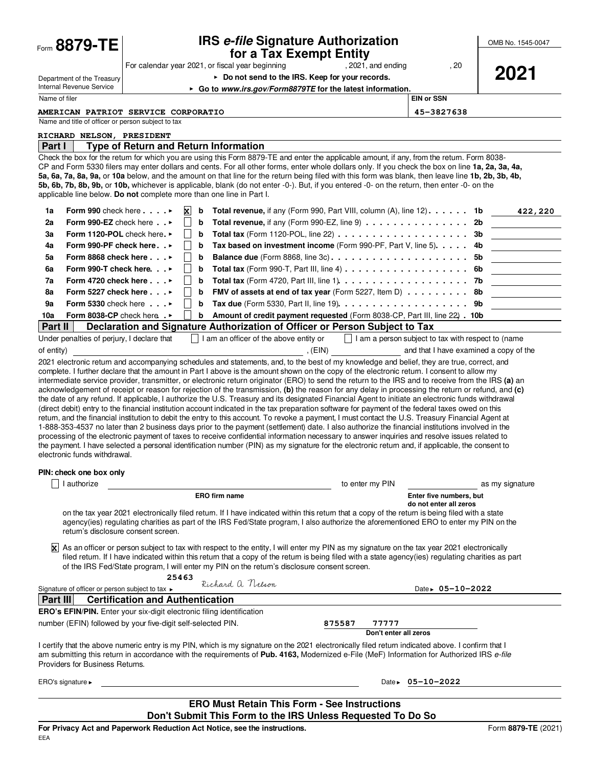| Form 8879-TE                                                                                                                                                                                                                                                                                                                                                                                                                                                                                                                                                                                                                                                                                                                                                                                                                                                                                                                                                                                                                                                                                                                                                                                                                                                   | <b>IRS e-file Signature Authorization</b><br>for a Tax Exempt Entity                                                                                                          |                                                           | OMB No. 1545-0047 |  |
|----------------------------------------------------------------------------------------------------------------------------------------------------------------------------------------------------------------------------------------------------------------------------------------------------------------------------------------------------------------------------------------------------------------------------------------------------------------------------------------------------------------------------------------------------------------------------------------------------------------------------------------------------------------------------------------------------------------------------------------------------------------------------------------------------------------------------------------------------------------------------------------------------------------------------------------------------------------------------------------------------------------------------------------------------------------------------------------------------------------------------------------------------------------------------------------------------------------------------------------------------------------|-------------------------------------------------------------------------------------------------------------------------------------------------------------------------------|-----------------------------------------------------------|-------------------|--|
|                                                                                                                                                                                                                                                                                                                                                                                                                                                                                                                                                                                                                                                                                                                                                                                                                                                                                                                                                                                                                                                                                                                                                                                                                                                                | For calendar year 2021, or fiscal year beginning<br>, 2021, and ending                                                                                                        | , 20                                                      |                   |  |
| Department of the Treasury                                                                                                                                                                                                                                                                                                                                                                                                                                                                                                                                                                                                                                                                                                                                                                                                                                                                                                                                                                                                                                                                                                                                                                                                                                     | ▶ Do not send to the IRS. Keep for your records.                                                                                                                              |                                                           | 2021              |  |
| Internal Revenue Service                                                                                                                                                                                                                                                                                                                                                                                                                                                                                                                                                                                                                                                                                                                                                                                                                                                                                                                                                                                                                                                                                                                                                                                                                                       | ► Go to www.irs.gov/Form8879TE for the latest information.                                                                                                                    |                                                           |                   |  |
| Name of filer                                                                                                                                                                                                                                                                                                                                                                                                                                                                                                                                                                                                                                                                                                                                                                                                                                                                                                                                                                                                                                                                                                                                                                                                                                                  |                                                                                                                                                                               | <b>EIN or SSN</b>                                         |                   |  |
| Name and title of officer or person subject to tax                                                                                                                                                                                                                                                                                                                                                                                                                                                                                                                                                                                                                                                                                                                                                                                                                                                                                                                                                                                                                                                                                                                                                                                                             | <b>AMERICAN PATRIOT SERVICE CORPORATIO</b>                                                                                                                                    | 45-3827638                                                |                   |  |
| RICHARD NELSON, PRESIDENT                                                                                                                                                                                                                                                                                                                                                                                                                                                                                                                                                                                                                                                                                                                                                                                                                                                                                                                                                                                                                                                                                                                                                                                                                                      |                                                                                                                                                                               |                                                           |                   |  |
| Part I                                                                                                                                                                                                                                                                                                                                                                                                                                                                                                                                                                                                                                                                                                                                                                                                                                                                                                                                                                                                                                                                                                                                                                                                                                                         | <b>Type of Return and Return Information</b>                                                                                                                                  |                                                           |                   |  |
| Check the box for the retum for which you are using this Form 8879-TE and enter the applicable amount, if any, from the retum. Form 8038-<br>CP and Form 5330 filers may enter dollars and cents. For all other forms, enter whole dollars only. If you check the box on line 1a, 2a, 3a, 4a,<br>5a, 6a, 7a, 8a, 9a, or 10a below, and the amount on that line for the return being filed with this form was blank, then leave line 1b, 2b, 3b, 4b,<br>5b, 6b, 7b, 8b, 9b, or 10b, whichever is applicable, blank (do not enter -0-). But, if you entered -0- on the return, then enter -0- on the<br>applicable line below. Do not complete more than one line in Part I.                                                                                                                                                                                                                                                                                                                                                                                                                                                                                                                                                                                     |                                                                                                                                                                               |                                                           |                   |  |
| Form 990 check here $\ldots$ .<br>1a                                                                                                                                                                                                                                                                                                                                                                                                                                                                                                                                                                                                                                                                                                                                                                                                                                                                                                                                                                                                                                                                                                                                                                                                                           | $\vert x \vert$<br><b>Total revenue,</b> if any (Form 990, Part VIII, column $(A)$ , line 12). $\dots$ 1b<br>b                                                                |                                                           | 422,220           |  |
| Form 990-EZ check here $\cdot$ .<br>2a                                                                                                                                                                                                                                                                                                                                                                                                                                                                                                                                                                                                                                                                                                                                                                                                                                                                                                                                                                                                                                                                                                                                                                                                                         | Total revenue, if any (Form 990-EZ, line 9) $\dots \dots \dots \dots \dots$<br>b                                                                                              | 2b                                                        |                   |  |
| Form 1120-POL check here.<br>3a                                                                                                                                                                                                                                                                                                                                                                                                                                                                                                                                                                                                                                                                                                                                                                                                                                                                                                                                                                                                                                                                                                                                                                                                                                | Total tax (Form 1120-POL, line 22) $\ldots \ldots \ldots \ldots \ldots \ldots$<br>b                                                                                           | 3b                                                        |                   |  |
| Form 990-PF check here ►<br>4a                                                                                                                                                                                                                                                                                                                                                                                                                                                                                                                                                                                                                                                                                                                                                                                                                                                                                                                                                                                                                                                                                                                                                                                                                                 | Tax based on investment income (Form 990-PF, Part V, line 5).<br>b                                                                                                            | 4b                                                        |                   |  |
| Form 8868 check here $\ldots$<br>5a                                                                                                                                                                                                                                                                                                                                                                                                                                                                                                                                                                                                                                                                                                                                                                                                                                                                                                                                                                                                                                                                                                                                                                                                                            | b                                                                                                                                                                             | 5b                                                        |                   |  |
| Form 990-T check here. $\cdot \cdot$<br>6a                                                                                                                                                                                                                                                                                                                                                                                                                                                                                                                                                                                                                                                                                                                                                                                                                                                                                                                                                                                                                                                                                                                                                                                                                     | Total tax (Form 990-T, Part III, line $4$ ) $\dots$ $\dots$ $\dots$ $\dots$ $\dots$ $\dots$ $\dots$<br>b                                                                      | 6b                                                        |                   |  |
| Form 4720 check here $\ldots$<br>7a<br>Form 5227 check here $\ldots$<br>8a                                                                                                                                                                                                                                                                                                                                                                                                                                                                                                                                                                                                                                                                                                                                                                                                                                                                                                                                                                                                                                                                                                                                                                                     | Total tax (Form 4720, Part III, line 1). $\ldots$ 7b<br>b<br>b                                                                                                                |                                                           |                   |  |
| Form 5330 check here $\ldots$<br>9a                                                                                                                                                                                                                                                                                                                                                                                                                                                                                                                                                                                                                                                                                                                                                                                                                                                                                                                                                                                                                                                                                                                                                                                                                            | <b>FMV of assets at end of tax year</b> (Form 5227, Item D) $\dots \dots \dots$ 8b<br>Tax due (Form 5330, Part II, line 19). $\dots \dots \dots \dots \dots \dots \dots$<br>b |                                                           |                   |  |
| 10a<br>Form 8038-CP check here . $\blacktriangleright$                                                                                                                                                                                                                                                                                                                                                                                                                                                                                                                                                                                                                                                                                                                                                                                                                                                                                                                                                                                                                                                                                                                                                                                                         | Amount of credit payment requested (Form 8038-CP, Part III, line 22) . 10b<br>b                                                                                               |                                                           |                   |  |
| <b>Part II</b>                                                                                                                                                                                                                                                                                                                                                                                                                                                                                                                                                                                                                                                                                                                                                                                                                                                                                                                                                                                                                                                                                                                                                                                                                                                 | Declaration and Signature Authorization of Officer or Person Subject to Tax                                                                                                   |                                                           |                   |  |
| Under penalties of perjury, I declare that                                                                                                                                                                                                                                                                                                                                                                                                                                                                                                                                                                                                                                                                                                                                                                                                                                                                                                                                                                                                                                                                                                                                                                                                                     | I am an officer of the above entity or                                                                                                                                        | $\Box$ I am a person subject to tax with respect to (name |                   |  |
| of entity)                                                                                                                                                                                                                                                                                                                                                                                                                                                                                                                                                                                                                                                                                                                                                                                                                                                                                                                                                                                                                                                                                                                                                                                                                                                     | , (EIN)                                                                                                                                                                       | and that I have examined a copy of the                    |                   |  |
| intermediate service provider, transmitter, or electronic return originator (ERO) to send the return to the IRS and to receive from the IRS (a) an<br>acknowledgement of receipt or reason for rejection of the transmission, (b) the reason for any delay in processing the return or refund, and (c)<br>the date of any refund. If applicable, I authorize the U.S. Treasury and its designated Financial Agent to initiate an electronic funds withdrawal<br>(direct debit) entry to the financial institution account indicated in the tax preparation software for payment of the federal taxes owed on this<br>retum, and the financial institution to debit the entry to this account. To revoke a payment, I must contact the U.S. Treasury Financial Agent at<br>1-888-353-4537 no later than 2 business days prior to the payment (settlement) date. I also authorize the financial institutions involved in the<br>processing of the electronic payment of taxes to receive confidential information necessary to answer inquiries and resolve issues related to<br>the payment. I have selected a personal identification number (PIN) as my signature for the electronic retum and, if applicable, the consent to<br>electronic funds withdrawal. |                                                                                                                                                                               |                                                           |                   |  |
| PIN: check one box only                                                                                                                                                                                                                                                                                                                                                                                                                                                                                                                                                                                                                                                                                                                                                                                                                                                                                                                                                                                                                                                                                                                                                                                                                                        |                                                                                                                                                                               |                                                           |                   |  |
| I authorize                                                                                                                                                                                                                                                                                                                                                                                                                                                                                                                                                                                                                                                                                                                                                                                                                                                                                                                                                                                                                                                                                                                                                                                                                                                    | to enter my PIN                                                                                                                                                               |                                                           | as my signature   |  |
|                                                                                                                                                                                                                                                                                                                                                                                                                                                                                                                                                                                                                                                                                                                                                                                                                                                                                                                                                                                                                                                                                                                                                                                                                                                                | <b>ERO firm name</b>                                                                                                                                                          | Enter five numbers, but                                   |                   |  |
| do not enter all zeros<br>on the tax year 2021 electronically filed return. If I have indicated within this return that a copy of the return is being filed with a state<br>agency(ies) regulating charities as part of the IRS Fed/State program, I also authorize the aforementioned ERO to enter my PIN on the<br>return's disclosure consent screen.                                                                                                                                                                                                                                                                                                                                                                                                                                                                                                                                                                                                                                                                                                                                                                                                                                                                                                       |                                                                                                                                                                               |                                                           |                   |  |
| ΙxΙ<br>As an officer or person subject to tax with respect to the entity, I will enter my PIN as my signature on the tax year 2021 electronically<br>filed return. If I have indicated within this return that a copy of the return is being filed with a state agency(ies) regulating charities as part<br>of the IRS Fed/State program, I will enter my PIN on the retum's disclosure consent screen.                                                                                                                                                                                                                                                                                                                                                                                                                                                                                                                                                                                                                                                                                                                                                                                                                                                        |                                                                                                                                                                               |                                                           |                   |  |
| Signature of officer or person subject to tax                                                                                                                                                                                                                                                                                                                                                                                                                                                                                                                                                                                                                                                                                                                                                                                                                                                                                                                                                                                                                                                                                                                                                                                                                  | 25463<br>Richard a. Nelson                                                                                                                                                    | Date $\rightarrow$ 05-10-2022                             |                   |  |
| <b>Part III</b>                                                                                                                                                                                                                                                                                                                                                                                                                                                                                                                                                                                                                                                                                                                                                                                                                                                                                                                                                                                                                                                                                                                                                                                                                                                | <b>Certification and Authentication</b>                                                                                                                                       |                                                           |                   |  |
|                                                                                                                                                                                                                                                                                                                                                                                                                                                                                                                                                                                                                                                                                                                                                                                                                                                                                                                                                                                                                                                                                                                                                                                                                                                                | <b>ERO's EFIN/PIN.</b> Enter your six-digit electronic filing identification                                                                                                  |                                                           |                   |  |
|                                                                                                                                                                                                                                                                                                                                                                                                                                                                                                                                                                                                                                                                                                                                                                                                                                                                                                                                                                                                                                                                                                                                                                                                                                                                | number (EFIN) followed by your five-digit self-selected PIN.<br>875587<br>77777<br>Don't enter all zeros                                                                      |                                                           |                   |  |
| I certify that the above numeric entry is my PIN, which is my signature on the 2021 electronically filed retum indicated above. I confirm that I<br>am submitting this return in accordance with the requirements of Pub. 4163, Modernized e-File (MeF) Information for Authorized IRS e-file<br>Providers for Business Returns.                                                                                                                                                                                                                                                                                                                                                                                                                                                                                                                                                                                                                                                                                                                                                                                                                                                                                                                               |                                                                                                                                                                               |                                                           |                   |  |
| ERO's signature $\blacktriangleright$                                                                                                                                                                                                                                                                                                                                                                                                                                                                                                                                                                                                                                                                                                                                                                                                                                                                                                                                                                                                                                                                                                                                                                                                                          |                                                                                                                                                                               | Date $\rightarrow$ 05-10-2022                             |                   |  |
|                                                                                                                                                                                                                                                                                                                                                                                                                                                                                                                                                                                                                                                                                                                                                                                                                                                                                                                                                                                                                                                                                                                                                                                                                                                                | <b>ERO Must Retain This Form - See Instructions</b>                                                                                                                           |                                                           |                   |  |
| Don't Submit This Form to the IRS Unless Requested To Do So                                                                                                                                                                                                                                                                                                                                                                                                                                                                                                                                                                                                                                                                                                                                                                                                                                                                                                                                                                                                                                                                                                                                                                                                    |                                                                                                                                                                               |                                                           |                   |  |